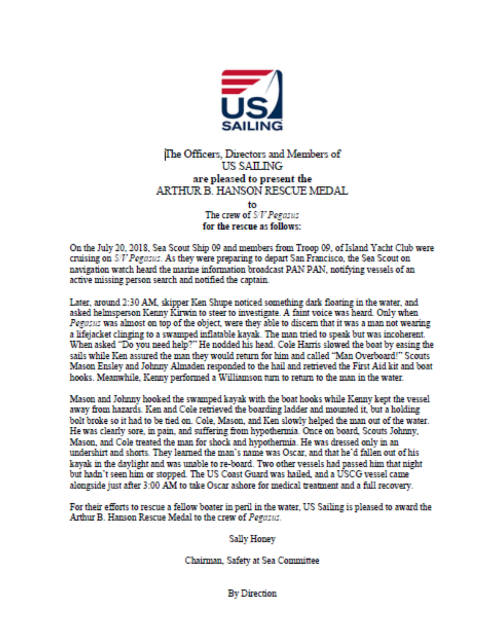

## The Officers, Directors and Members of **US SAILING** are pleased to present the ARTHUR B. HANSON RESCUE MEDAL

to The crew of S/V Pegasus for the rescue as follows:

On the July 20, 2018, Sea Scout Ship 09 and members from Troop 09, of Island Yacht Club were cruising on S/V Pegasus. As they were preparing to depart San Francisco, the Sea Scout on navigation watch heard the marine information broadcast PAN PAN, notifying vessels of an active missing person search and notified the captain.

Later, around 2:30 AM, skipper Ken Shupe noticed something dark floating in the water, and asked helmsperson Kenny Kirwin to steer to investigate. A faint voice was heard. Only when Pegasus was almost on top of the object, were they able to discern that it was a man not wearing a lifejacket clinging to a swamped inflatable kayak. The man tried to speak but was incoherent. When asked "Do you need help?" He nodded his head. Cole Harris slowed the boat by easing the sails while Ken assured the man they would return for him and called "Man Overboard!" Scouts Mason Ensley and Johnny Almaden responded to the hail and retrieved the First Aid kit and boat hooks. Meanwhile, Kenny performed a Williamson turn to return to the man in the water.

Mason and Johnny hooked the swamped kayak with the boat hooks while Kenny kept the vessel away from hazards. Ken and Cole retrieved the boarding ladder and mounted it, but a holding bolt broke so it had to be tied on. Cole, Mason, and Ken slowly helped the man out of the water. He was clearly sore, in pain, and suffering from hypothermia. Once on board, Scouts Johnny, Mason, and Cole treated the man for shock and hypothermia. He was dressed only in an undershirt and shorts. They learned the man's name was Oscar, and that he'd fallen out of his kayak in the daylight and was unable to re-board. Two other vessels had passed him that night but hadn't seen him or stopped. The US Coast Guard was hailed, and a USCG vessel came alongside just after 3:00 AM to take Oscar ashore for medical treatment and a full recovery.

For their efforts to rescue a fellow boater in peril in the water, US Sailing is pleased to award the Arthur B. Hanson Rescue Medal to the crew of Pegasus.

Sally Honey

Chairman, Safety at Sea Committee

**By Direction**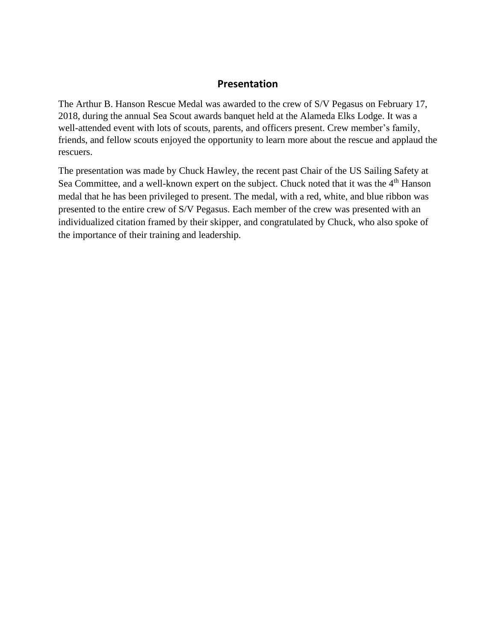## **Presentation**

The Arthur B. Hanson Rescue Medal was awarded to the crew of S/V Pegasus on February 17, 2018, during the annual Sea Scout awards banquet held at the Alameda Elks Lodge. It was a well-attended event with lots of scouts, parents, and officers present. Crew member's family, friends, and fellow scouts enjoyed the opportunity to learn more about the rescue and applaud the rescuers.

The presentation was made by Chuck Hawley, the recent past Chair of the US Sailing Safety at Sea Committee, and a well-known expert on the subject. Chuck noted that it was the 4<sup>th</sup> Hanson medal that he has been privileged to present. The medal, with a red, white, and blue ribbon was presented to the entire crew of S/V Pegasus. Each member of the crew was presented with an individualized citation framed by their skipper, and congratulated by Chuck, who also spoke of the importance of their training and leadership.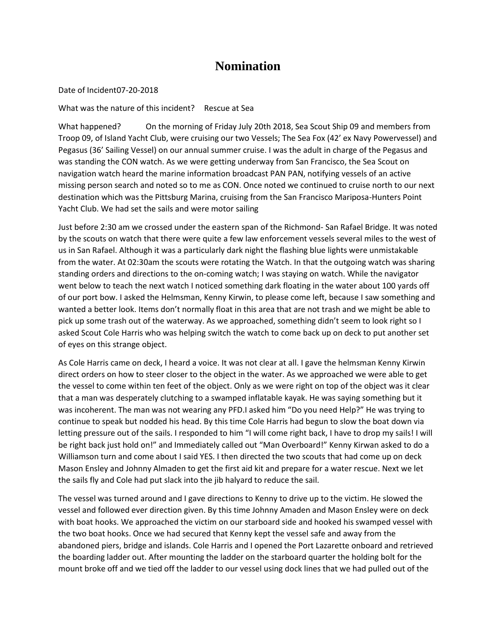## **Nomination**

Date of Incident07-20-2018

What was the nature of this incident? Rescue at Sea

What happened? On the morning of Friday July 20th 2018, Sea Scout Ship 09 and members from Troop 09, of Island Yacht Club, were cruising our two Vessels; The Sea Fox (42' ex Navy Powervessel) and Pegasus (36' Sailing Vessel) on our annual summer cruise. I was the adult in charge of the Pegasus and was standing the CON watch. As we were getting underway from San Francisco, the Sea Scout on navigation watch heard the marine information broadcast PAN PAN, notifying vessels of an active missing person search and noted so to me as CON. Once noted we continued to cruise north to our next destination which was the Pittsburg Marina, cruising from the San Francisco Mariposa-Hunters Point Yacht Club. We had set the sails and were motor sailing

Just before 2:30 am we crossed under the eastern span of the Richmond- San Rafael Bridge. It was noted by the scouts on watch that there were quite a few law enforcement vessels several miles to the west of us in San Rafael. Although it was a particularly dark night the flashing blue lights were unmistakable from the water. At 02:30am the scouts were rotating the Watch. In that the outgoing watch was sharing standing orders and directions to the on-coming watch; I was staying on watch. While the navigator went below to teach the next watch I noticed something dark floating in the water about 100 yards off of our port bow. I asked the Helmsman, Kenny Kirwin, to please come left, because I saw something and wanted a better look. Items don't normally float in this area that are not trash and we might be able to pick up some trash out of the waterway. As we approached, something didn't seem to look right so I asked Scout Cole Harris who was helping switch the watch to come back up on deck to put another set of eyes on this strange object.

As Cole Harris came on deck, I heard a voice. It was not clear at all. I gave the helmsman Kenny Kirwin direct orders on how to steer closer to the object in the water. As we approached we were able to get the vessel to come within ten feet of the object. Only as we were right on top of the object was it clear that a man was desperately clutching to a swamped inflatable kayak. He was saying something but it was incoherent. The man was not wearing any PFD.I asked him "Do you need Help?" He was trying to continue to speak but nodded his head. By this time Cole Harris had begun to slow the boat down via letting pressure out of the sails. I responded to him "I will come right back, I have to drop my sails! I will be right back just hold on!" and Immediately called out "Man Overboard!" Kenny Kirwan asked to do a Williamson turn and come about I said YES. I then directed the two scouts that had come up on deck Mason Ensley and Johnny Almaden to get the first aid kit and prepare for a water rescue. Next we let the sails fly and Cole had put slack into the jib halyard to reduce the sail.

The vessel was turned around and I gave directions to Kenny to drive up to the victim. He slowed the vessel and followed ever direction given. By this time Johnny Amaden and Mason Ensley were on deck with boat hooks. We approached the victim on our starboard side and hooked his swamped vessel with the two boat hooks. Once we had secured that Kenny kept the vessel safe and away from the abandoned piers, bridge and islands. Cole Harris and I opened the Port Lazarette onboard and retrieved the boarding ladder out. After mounting the ladder on the starboard quarter the holding bolt for the mount broke off and we tied off the ladder to our vessel using dock lines that we had pulled out of the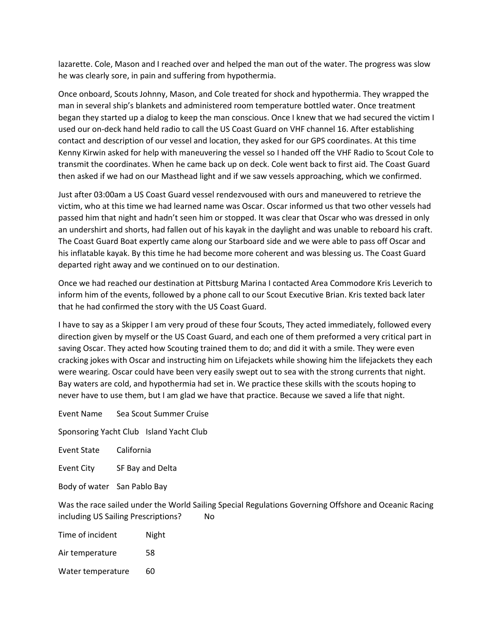lazarette. Cole, Mason and I reached over and helped the man out of the water. The progress was slow he was clearly sore, in pain and suffering from hypothermia.

Once onboard, Scouts Johnny, Mason, and Cole treated for shock and hypothermia. They wrapped the man in several ship's blankets and administered room temperature bottled water. Once treatment began they started up a dialog to keep the man conscious. Once I knew that we had secured the victim I used our on-deck hand held radio to call the US Coast Guard on VHF channel 16. After establishing contact and description of our vessel and location, they asked for our GPS coordinates. At this time Kenny Kirwin asked for help with maneuvering the vessel so I handed off the VHF Radio to Scout Cole to transmit the coordinates. When he came back up on deck. Cole went back to first aid. The Coast Guard then asked if we had on our Masthead light and if we saw vessels approaching, which we confirmed.

Just after 03:00am a US Coast Guard vessel rendezvoused with ours and maneuvered to retrieve the victim, who at this time we had learned name was Oscar. Oscar informed us that two other vessels had passed him that night and hadn't seen him or stopped. It was clear that Oscar who was dressed in only an undershirt and shorts, had fallen out of his kayak in the daylight and was unable to reboard his craft. The Coast Guard Boat expertly came along our Starboard side and we were able to pass off Oscar and his inflatable kayak. By this time he had become more coherent and was blessing us. The Coast Guard departed right away and we continued on to our destination.

Once we had reached our destination at Pittsburg Marina I contacted Area Commodore Kris Leverich to inform him of the events, followed by a phone call to our Scout Executive Brian. Kris texted back later that he had confirmed the story with the US Coast Guard.

I have to say as a Skipper I am very proud of these four Scouts, They acted immediately, followed every direction given by myself or the US Coast Guard, and each one of them preformed a very critical part in saving Oscar. They acted how Scouting trained them to do; and did it with a smile. They were even cracking jokes with Oscar and instructing him on Lifejackets while showing him the lifejackets they each were wearing. Oscar could have been very easily swept out to sea with the strong currents that night. Bay waters are cold, and hypothermia had set in. We practice these skills with the scouts hoping to never have to use them, but I am glad we have that practice. Because we saved a life that night.

Event Name Sea Scout Summer Cruise

Sponsoring Yacht Club Island Yacht Club

Event State California

Event City SF Bay and Delta

Body of water San Pablo Bay

Was the race sailed under the World Sailing Special Regulations Governing Offshore and Oceanic Racing including US Sailing Prescriptions? No

| Time of incident  | Night |
|-------------------|-------|
| Air temperature   | 58    |
| Water temperature | 60    |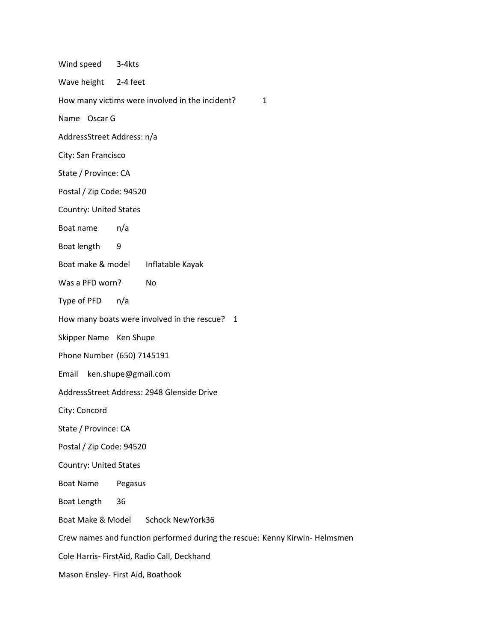| Wind speed 3-4kts                                                           |                                                      |  |
|-----------------------------------------------------------------------------|------------------------------------------------------|--|
| Wave height 2-4 feet                                                        |                                                      |  |
|                                                                             | How many victims were involved in the incident?<br>1 |  |
| Name Oscar G                                                                |                                                      |  |
| AddressStreet Address: n/a                                                  |                                                      |  |
| City: San Francisco                                                         |                                                      |  |
| State / Province: CA                                                        |                                                      |  |
| Postal / Zip Code: 94520                                                    |                                                      |  |
| <b>Country: United States</b>                                               |                                                      |  |
| Boat name                                                                   | n/a                                                  |  |
| Boat length                                                                 | 9                                                    |  |
| Boat make & model                                                           | Inflatable Kayak                                     |  |
| Was a PFD worn?                                                             | No                                                   |  |
| Type of PFD                                                                 | n/a                                                  |  |
|                                                                             | How many boats were involved in the rescue? 1        |  |
| Skipper Name Ken Shupe                                                      |                                                      |  |
|                                                                             | Phone Number (650) 7145191                           |  |
| Email<br>ken.shupe@gmail.com                                                |                                                      |  |
| AddressStreet Address: 2948 Glenside Drive                                  |                                                      |  |
| City: Concord                                                               |                                                      |  |
| State / Province: CA                                                        |                                                      |  |
| Postal / Zip Code: 94520                                                    |                                                      |  |
| <b>Country: United States</b>                                               |                                                      |  |
| <b>Boat Name</b>                                                            | Pegasus                                              |  |
| Boat Length                                                                 | 36                                                   |  |
| Boat Make & Model                                                           | <b>Schock NewYork36</b>                              |  |
| Crew names and function performed during the rescue: Kenny Kirwin- Helmsmen |                                                      |  |
| Cole Harris- FirstAid, Radio Call, Deckhand                                 |                                                      |  |
| Mason Ensley- First Aid, Boathook                                           |                                                      |  |